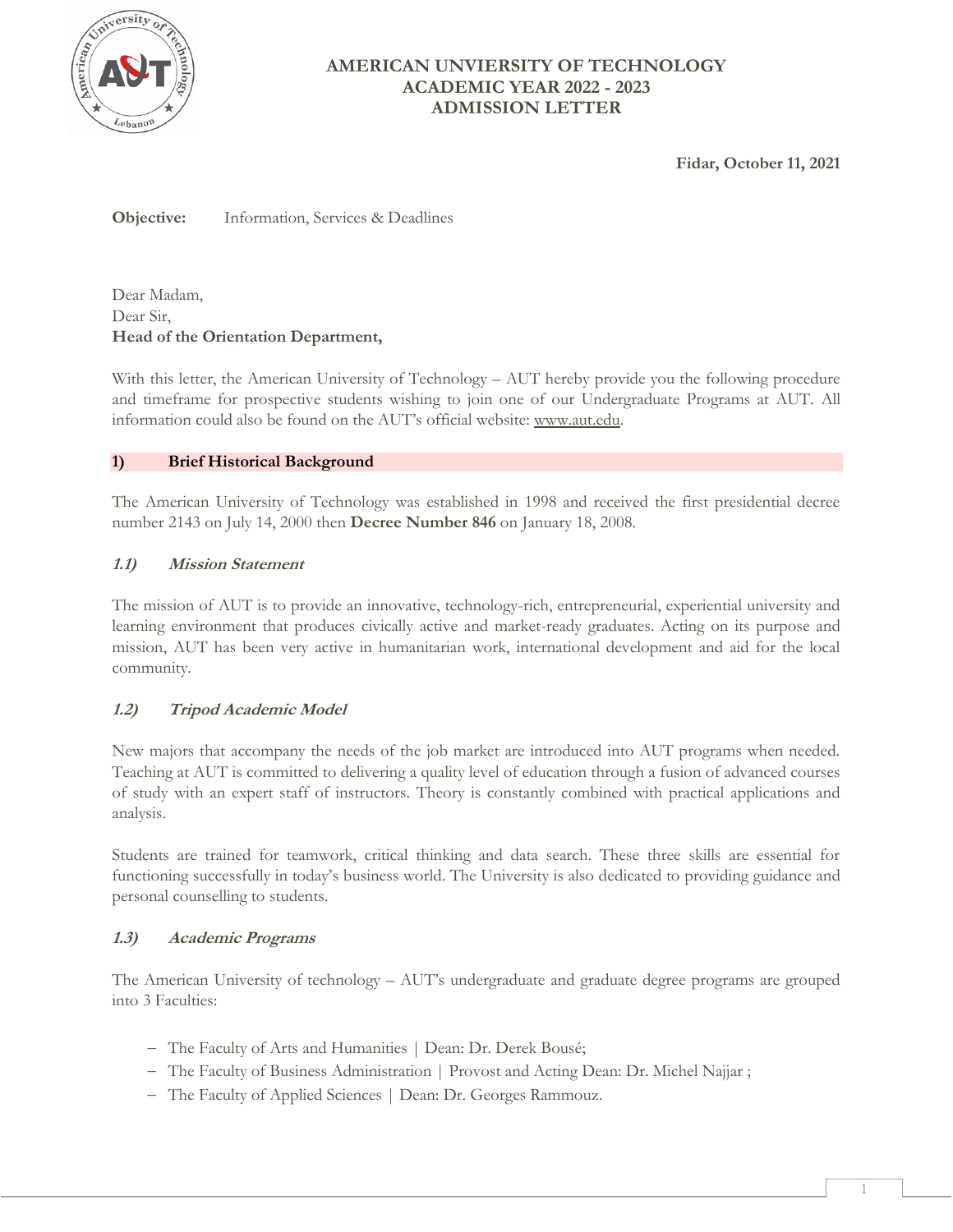

**Fidar, October 11, 2021**

**Objective:** Information, Services & Deadlines

Dear Madam, Dear Sir, **Head of the Orientation Department,**

With this letter, the American University of Technology – AUT hereby provide you the following procedure and timeframe for prospective students wishing to join one of our Undergraduate Programs at AUT. All information could also be found on the AUT's official website: [www.aut.edu.](http://www.aut.edu/)

## **1) Brief Historical Background**

The American University of Technology was established in 1998 and received the first presidential decree number 2143 on July 14, 2000 then **Decree Number 846** on January 18, 2008.

# **1.1) Mission Statement**

The mission of AUT is to provide an innovative, technology-rich, entrepreneurial, experiential university and learning environment that produces civically active and market-ready graduates. Acting on its purpose and mission, AUT has been very active in humanitarian work, international development and aid for the local community.

# **1.2) Tripod Academic Model**

New majors that accompany the needs of the job market are introduced into AUT programs when needed. Teaching at AUT is committed to delivering a quality level of education through a fusion of advanced courses of study with an expert staff of instructors. Theory is constantly combined with practical applications and analysis.

Students are trained for teamwork, critical thinking and data search. These three skills are essential for functioning successfully in today's business world. The University is also dedicated to providing guidance and personal counselling to students.

#### **1.3) Academic Programs**

The American University of technology – AUT's undergraduate and graduate degree programs are grouped into 3 Faculties:

- The Faculty of Arts and Humanities | Dean: Dr. Derek Bousé;
- The Faculty of Business Administration | Provost and Acting Dean: Dr. Michel Najjar;
- The Faculty of Applied Sciences | Dean: Dr. Georges Rammouz.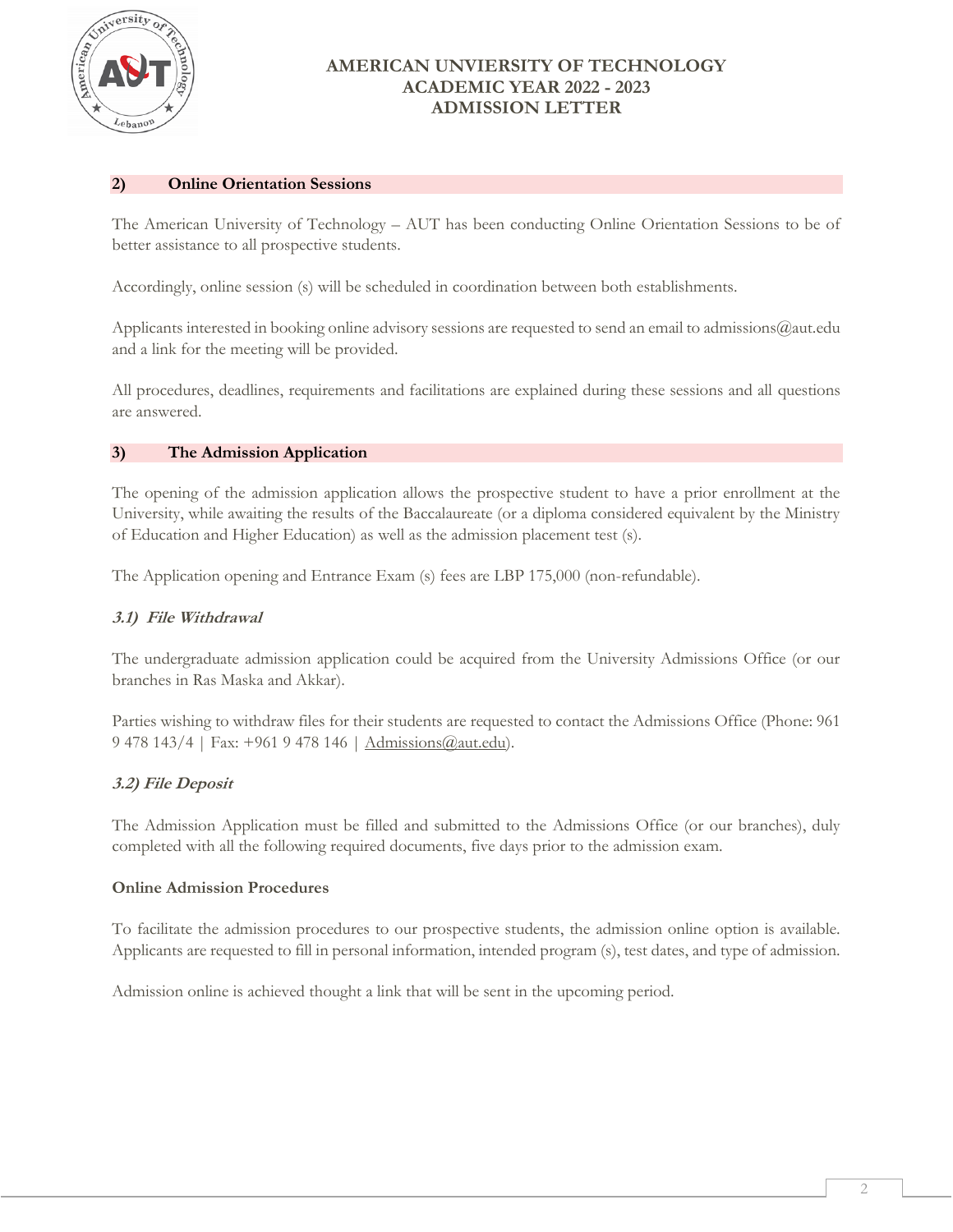

### **2) Online Orientation Sessions**

The American University of Technology – AUT has been conducting Online Orientation Sessions to be of better assistance to all prospective students.

Accordingly, online session (s) will be scheduled in coordination between both establishments.

Applicants interested in booking online advisory sessions are requested to send an email to admissions@aut.edu and a link for the meeting will be provided.

All procedures, deadlines, requirements and facilitations are explained during these sessions and all questions are answered.

## **3) The Admission Application**

The opening of the admission application allows the prospective student to have a prior enrollment at the University, while awaiting the results of the Baccalaureate (or a diploma considered equivalent by the Ministry of Education and Higher Education) as well as the admission placement test (s).

The Application opening and Entrance Exam (s) fees are LBP 175,000 (non-refundable).

### **3.1) File Withdrawal**

The undergraduate admission application could be acquired from the University Admissions Office (or our branches in Ras Maska and Akkar).

Parties wishing to withdraw files for their students are requested to contact the Admissions Office (Phone: 961 9 478 143/4 | Fax: +961 9 478 146 | [Admissions@aut.edu\)](mailto:Admissions@aut.edu).

# **3.2) File Deposit**

The Admission Application must be filled and submitted to the Admissions Office (or our branches), duly completed with all the following required documents, five days prior to the admission exam.

#### **Online Admission Procedures**

To facilitate the admission procedures to our prospective students, the admission online option is available. Applicants are requested to fill in personal information, intended program (s), test dates, and type of admission.

Admission online is achieved thought a link that will be sent in the upcoming period.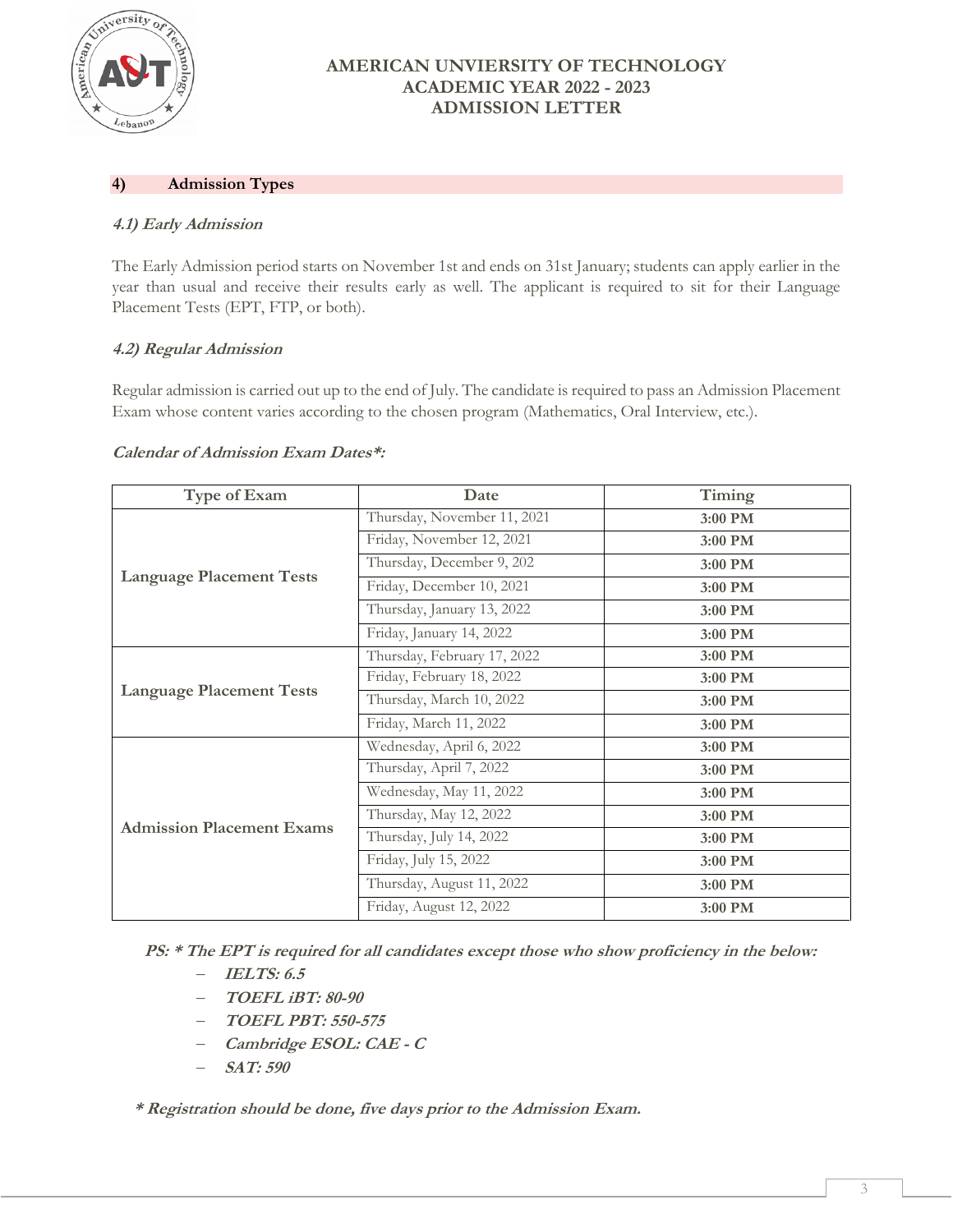

## **4) Admission Types**

## **4.1) Early Admission**

The Early Admission period starts on November 1st and ends on 31st January; students can apply earlier in the year than usual and receive their results early as well. The applicant is required to sit for their Language Placement Tests (EPT, FTP, or both).

## **4.2) Regular Admission**

Regular admission is carried out up to the end of July. The candidate is required to pass an Admission Placement Exam whose content varies according to the chosen program (Mathematics, Oral Interview, etc.).

#### **Calendar of Admission Exam Dates\*:**

| Type of Exam                     | Date                        | Timing  |
|----------------------------------|-----------------------------|---------|
| <b>Language Placement Tests</b>  | Thursday, November 11, 2021 | 3:00 PM |
|                                  | Friday, November 12, 2021   | 3:00 PM |
|                                  | Thursday, December 9, 202   | 3:00 PM |
|                                  | Friday, December 10, 2021   | 3:00 PM |
|                                  | Thursday, January 13, 2022  | 3:00 PM |
|                                  | Friday, January 14, 2022    | 3:00 PM |
| <b>Language Placement Tests</b>  | Thursday, February 17, 2022 | 3:00 PM |
|                                  | Friday, February 18, 2022   | 3:00 PM |
|                                  | Thursday, March 10, 2022    | 3:00 PM |
|                                  | Friday, March 11, 2022      | 3:00 PM |
| <b>Admission Placement Exams</b> | Wednesday, April 6, 2022    | 3:00 PM |
|                                  | Thursday, April 7, 2022     | 3:00 PM |
|                                  | Wednesday, May 11, 2022     | 3:00 PM |
|                                  | Thursday, May 12, 2022      | 3:00 PM |
|                                  | Thursday, July 14, 2022     | 3:00 PM |
|                                  | Friday, July 15, 2022       | 3:00 PM |
|                                  | Thursday, August 11, 2022   | 3:00 PM |
|                                  | Friday, August 12, 2022     | 3:00 PM |

**PS: \* The EPT is required for all candidates except those who show proficiency in the below:**

- **IELTS: 6.5**
- **TOEFL iBT: 80-90**
- **TOEFL PBT: 550-575**
- **Cambridge ESOL: CAE - <sup>C</sup>**
- **SAT: 590**

 **\* Registration should be done, five days prior to the Admission Exam.**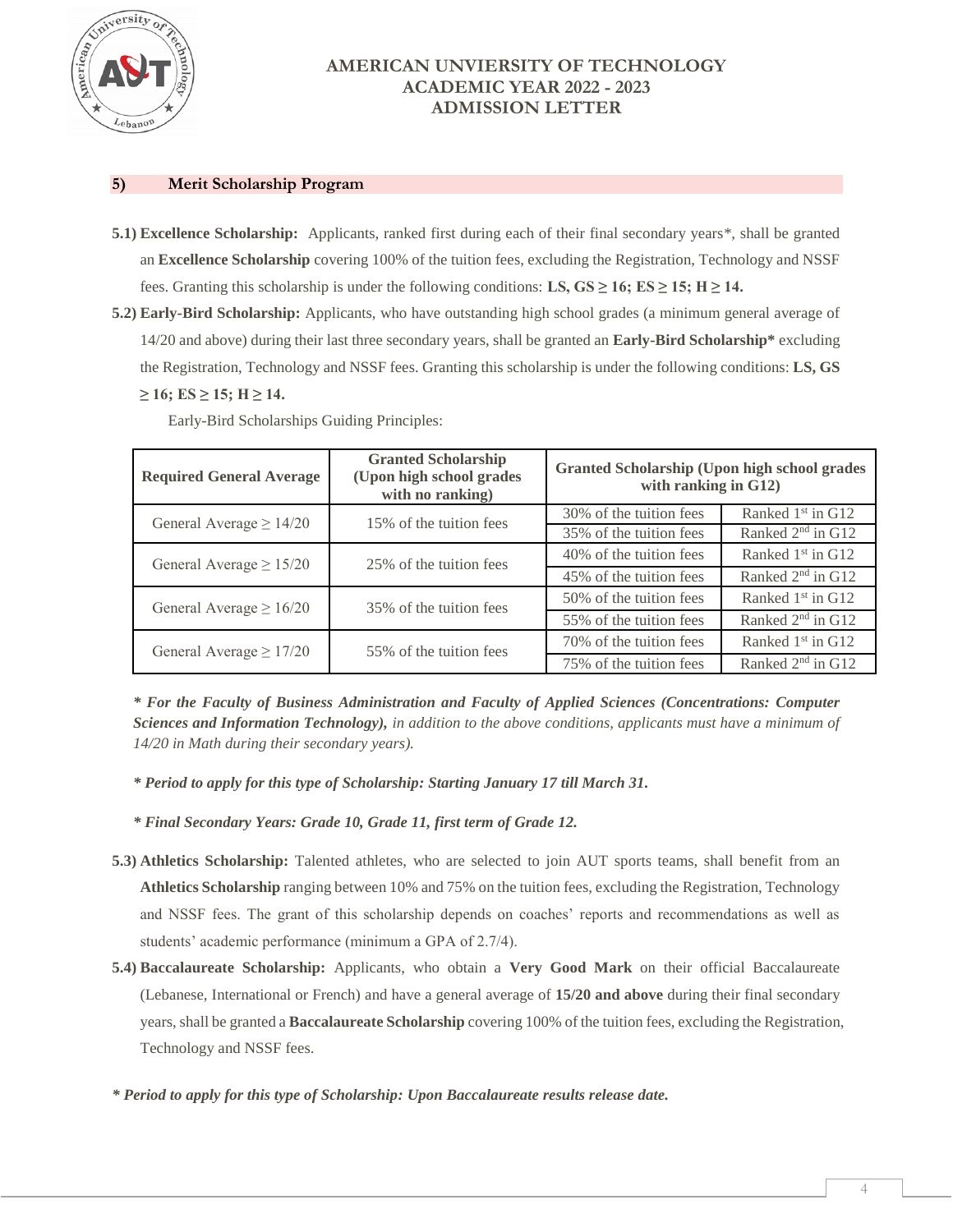

#### **5) Merit Scholarship Program**

- **5.1) Excellence Scholarship:** Applicants, ranked first during each of their final secondary years\*, shall be granted an **Excellence Scholarship** covering 100% of the tuition fees, excluding the Registration, Technology and NSSF fees. Granting this scholarship is under the following conditions: **LS, GS**  $\geq$  **16; ES**  $\geq$  **15; H**  $\geq$  **14.**
- **5.2) Early-Bird Scholarship:** Applicants, who have outstanding high school grades (a minimum general average of 14/20 and above) during their last three secondary years, shall be granted an **Early-Bird Scholarship\*** excluding the Registration, Technology and NSSF fees. Granting this scholarship is under the following conditions: **LS, GS**   $≥ 16$ ; ES  $≥ 15$ ; H  $≥ 14$ .

| <b>Required General Average</b> | <b>Granted Scholarship</b><br>(Upon high school grades<br>with no ranking) | <b>Granted Scholarship (Upon high school grades)</b><br>with ranking in G12) |                               |
|---------------------------------|----------------------------------------------------------------------------|------------------------------------------------------------------------------|-------------------------------|
| General Average $\geq 14/20$    | 15% of the tuition fees                                                    | 30% of the tuition fees                                                      | Ranked 1 <sup>st</sup> in G12 |
|                                 |                                                                            | 35% of the tuition fees                                                      | Ranked 2 <sup>nd</sup> in G12 |
| General Average $\geq 15/20$    | 25% of the tuition fees                                                    | 40% of the tuition fees                                                      | Ranked $1st$ in G12           |
|                                 |                                                                            | 45% of the tuition fees                                                      | Ranked 2 <sup>nd</sup> in G12 |
| General Average $\geq 16/20$    | 35% of the tuition fees                                                    | 50% of the tuition fees                                                      | Ranked $1st$ in G12           |
|                                 |                                                                            | 55% of the tuition fees                                                      | Ranked 2 <sup>nd</sup> in G12 |
| General Average $\geq 17/20$    | 55% of the tuition fees                                                    | 70% of the tuition fees                                                      | Ranked 1 <sup>st</sup> in G12 |
|                                 |                                                                            | 75% of the tuition fees                                                      | Ranked 2 <sup>nd</sup> in G12 |

Early-Bird Scholarships Guiding Principles:

*\* For the Faculty of Business Administration and Faculty of Applied Sciences (Concentrations: Computer Sciences and Information Technology), in addition to the above conditions, applicants must have a minimum of 14/20 in Math during their secondary years).*

- *\* Period to apply for this type of Scholarship: Starting January 17 till March 31.*
- *\* Final Secondary Years: Grade 10, Grade 11, first term of Grade 12.*
- **5.3) Athletics Scholarship:** Talented athletes, who are selected to join AUT sports teams, shall benefit from an **Athletics Scholarship** ranging between 10% and 75% on the tuition fees, excluding the Registration, Technology and NSSF fees. The grant of this scholarship depends on coaches' reports and recommendations as well as students' academic performance (minimum a GPA of 2.7/4).
- **5.4) Baccalaureate Scholarship:** Applicants, who obtain a **Very Good Mark** on their official Baccalaureate (Lebanese, International or French) and have a general average of **15/20 and above** during their final secondary years, shall be granted a **Baccalaureate Scholarship** covering 100% of the tuition fees, excluding the Registration, Technology and NSSF fees.
- *\* Period to apply for this type of Scholarship: Upon Baccalaureate results release date.*